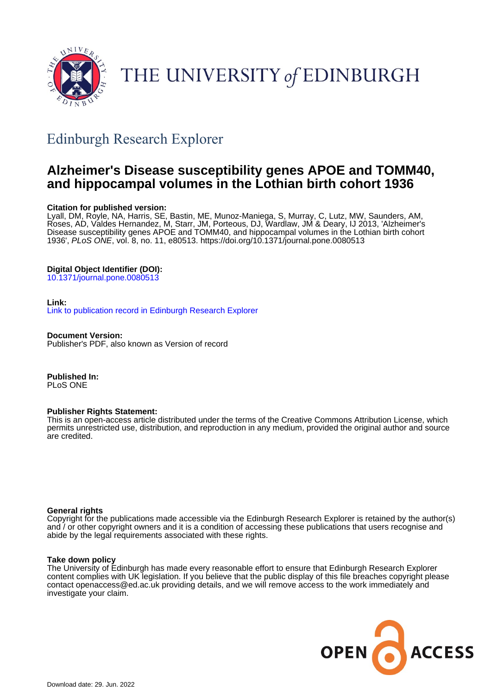

THE UNIVERSITY of EDINBURGH

# Edinburgh Research Explorer

## **Alzheimer's Disease susceptibility genes APOE and TOMM40, and hippocampal volumes in the Lothian birth cohort 1936**

## **Citation for published version:**

Lyall, DM, Royle, NA, Harris, SE, Bastin, ME, Munoz-Maniega, S, Murray, C, Lutz, MW, Saunders, AM, Roses, AD, Valdes Hernandez, M, Starr, JM, Porteous, DJ, Wardlaw, JM & Deary, IJ 2013, 'Alzheimer's Disease susceptibility genes APOE and TOMM40, and hippocampal volumes in the Lothian birth cohort 1936', PLoS ONE, vol. 8, no. 11, e80513. <https://doi.org/10.1371/journal.pone.0080513>

## **Digital Object Identifier (DOI):**

[10.1371/journal.pone.0080513](https://doi.org/10.1371/journal.pone.0080513)

## **Link:**

[Link to publication record in Edinburgh Research Explorer](https://www.research.ed.ac.uk/en/publications/ad71f84f-244e-477d-afaa-14a816c8cebf)

**Document Version:** Publisher's PDF, also known as Version of record

**Published In:** PLoS ONE

## **Publisher Rights Statement:**

This is an open-access article distributed under the terms of the Creative Commons Attribution License, which permits unrestricted use, distribution, and reproduction in any medium, provided the original author and source are credited.

## **General rights**

Copyright for the publications made accessible via the Edinburgh Research Explorer is retained by the author(s) and / or other copyright owners and it is a condition of accessing these publications that users recognise and abide by the legal requirements associated with these rights.

#### **Take down policy**

The University of Edinburgh has made every reasonable effort to ensure that Edinburgh Research Explorer content complies with UK legislation. If you believe that the public display of this file breaches copyright please contact openaccess@ed.ac.uk providing details, and we will remove access to the work immediately and investigate your claim.

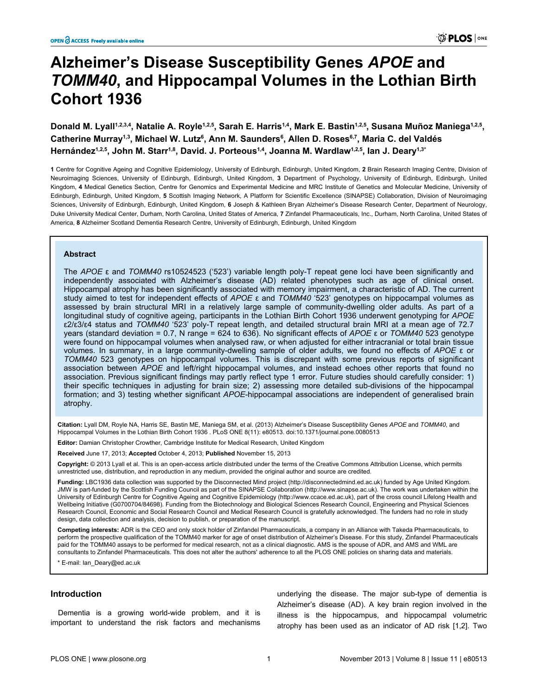## **Alzheimer's Disease Susceptibility Genes** *APOE* **and** *TOMM40***, and Hippocampal Volumes in the Lothian Birth Cohort 1936**

## **Donald M. Lyall1,2,3,4, Natalie A. Royle1,2,5, Sarah E. Harris1,4, Mark E. Bastin1,2,5, Susana Muñoz Maniega1,2,5 , Catherine Murray1,3, Michael W. Lutz<sup>6</sup> , Ann M. Saunders<sup>6</sup> , Allen D. Roses6,7, Maria C. del Valdés Hernández1,2,5, John M. Starr1,8, David. J. Porteous1,4, Joanna M. Wardlaw1,2,5, Ian J. Deary1,3\***

**1** Centre for Cognitive Ageing and Cognitive Epidemiology, University of Edinburgh, Edinburgh, United Kingdom, **2** Brain Research Imaging Centre, Division of Neuroimaging Sciences, University of Edinburgh, Edinburgh, United Kingdom, **3** Department of Psychology, University of Edinburgh, Edinburgh, United Kingdom, **4** Medical Genetics Section, Centre for Genomics and Experimental Medicine and MRC Institute of Genetics and Molecular Medicine, University of Edinburgh, Edinburgh, United Kingdom, **5** Scottish Imaging Network, A Platform for Scientific Excellence (SINAPSE) Collaboration, Division of Neuroimaging Sciences, University of Edinburgh, Edinburgh, United Kingdom, **6** Joseph & Kathleen Bryan Alzheimer's Disease Research Center, Department of Neurology, Duke University Medical Center, Durham, North Carolina, United States of America, **7** Zinfandel Pharmaceuticals, Inc., Durham, North Carolina, United States of America, **8** Alzheimer Scotland Dementia Research Centre, University of Edinburgh, Edinburgh, United Kingdom

#### **Abstract**

The *APOE* ε and *TOMM40* rs10524523 ('523') variable length poly-T repeat gene loci have been significantly and independently associated with Alzheimer's disease (AD) related phenotypes such as age of clinical onset. Hippocampal atrophy has been significantly associated with memory impairment, a characteristic of AD. The current study aimed to test for independent effects of *APOE* ε and *TOMM40* '523' genotypes on hippocampal volumes as assessed by brain structural MRI in a relatively large sample of community-dwelling older adults. As part of a longitudinal study of cognitive ageing, participants in the Lothian Birth Cohort 1936 underwent genotyping for *APOE* ε2/ε3/ε4 status and *TOMM40* '523' poly-T repeat length, and detailed structural brain MRI at a mean age of 72.7 years (standard deviation = 0.7, N range = 624 to 636). No significant effects of *APOE* ε or *TOMM40* 523 genotype were found on hippocampal volumes when analysed raw, or when adjusted for either intracranial or total brain tissue volumes. In summary, in a large community-dwelling sample of older adults, we found no effects of *APOE* ε or *TOMM40* 523 genotypes on hippocampal volumes. This is discrepant with some previous reports of significant association between *APOE* and left/right hippocampal volumes, and instead echoes other reports that found no association. Previous significant findings may partly reflect type 1 error. Future studies should carefully consider: 1) their specific techniques in adjusting for brain size; 2) assessing more detailed sub-divisions of the hippocampal formation; and 3) testing whether significant *APOE*-hippocampal associations are independent of generalised brain atrophy.

**Citation:** Lyall DM, Royle NA, Harris SE, Bastin ME, Maniega SM, et al. (2013) Alzheimer's Disease Susceptibility Genes *APOE* and *TOMM40*, and Hippocampal Volumes in the Lothian Birth Cohort 1936 . PLoS ONE 8(11): e80513. doi:10.1371/journal.pone.0080513

**Editor:** Damian Christopher Crowther, Cambridge Institute for Medical Research, United Kingdom

**Received** June 17, 2013; **Accepted** October 4, 2013; **Published** November 15, 2013

**Copyright:** © 2013 Lyall et al. This is an open-access article distributed under the terms of the [Creative Commons Attribution License](http://creativecommons.org/licenses/by/3.0/), which permits unrestricted use, distribution, and reproduction in any medium, provided the original author and source are credited.

**Funding:** LBC1936 data collection was supported by the Disconnected Mind project ([http://disconnectedmind.ed.ac.uk\)](http://disconnectedmind.ed.ac.uk) funded by Age United Kingdom. JMW is part-funded by the Scottish Funding Council as part of the SINAPSE Collaboration [\(http://www.sinapse.ac.uk\)](http://www.sinapse.ac.uk). The work was undertaken within the University of Edinburgh Centre for Cognitive Ageing and Cognitive Epidemiology (<http://www.ccace.ed.ac.uk>), part of the cross council Lifelong Health and Wellbeing Initiative (G0700704/84698). Funding from the Biotechnology and Biological Sciences Research Council, Engineering and Physical Sciences Research Council, Economic and Social Research Council and Medical Research Council is gratefully acknowledged. The funders had no role in study design, data collection and analysis, decision to publish, or preparation of the manuscript.

**Competing interests:** ADR is the CEO and only stock holder of Zinfandel Pharmaceuticals, a company in an Alliance with Takeda Pharmaceuticals, to perform the prospective qualification of the TOMM40 marker for age of onset distribution of Alzheimer's Disease. For this study, Zinfandel Pharmaceuticals paid for the TOMM40 assays to be performed for medical research, not as a clinical diagnostic. AMS is the spouse of ADR, and AMS and WML are consultants to Zinfandel Pharmaceuticals. This does not alter the authors' adherence to all the PLOS ONE policies on sharing data and materials.

\* E-mail: Ian\_Deary@ed.ac.uk

#### **Introduction**

Dementia is a growing world-wide problem, and it is important to understand the risk factors and mechanisms

underlying the disease. The major sub-type of dementia is Alzheimer's disease (AD). A key brain region involved in the illness is the hippocampus, and hippocampal volumetric atrophy has been used as an indicator of AD risk [[1,2\]](#page-9-0). Two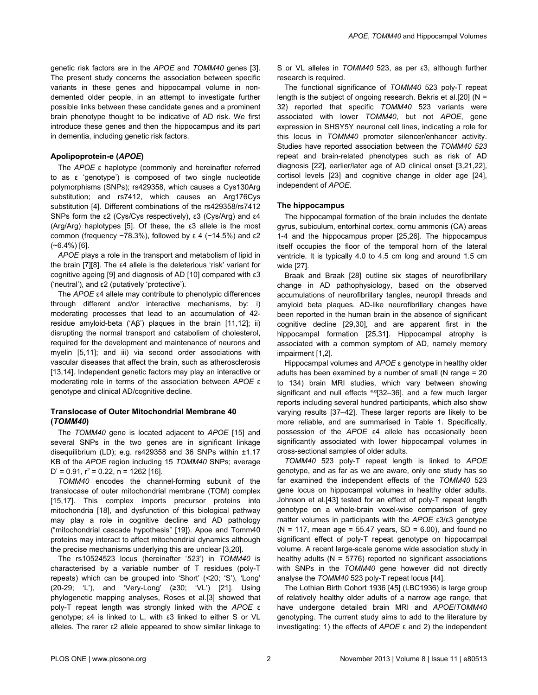genetic risk factors are in the *APOE* and *TOMM40* genes [\[3\]](#page-9-0). The present study concerns the association between specific variants in these genes and hippocampal volume in nondemented older people, in an attempt to investigate further possible links between these candidate genes and a prominent brain phenotype thought to be indicative of AD risk. We first introduce these genes and then the hippocampus and its part in dementia, including genetic risk factors.

#### **Apolipoprotein-e (***APOE***)**

The *APOE* ε haplotype (commonly and hereinafter referred to as ε 'genotype') is composed of two single nucleotide polymorphisms (SNPs); rs429358, which causes a Cys130Arg substitution; and rs7412, which causes an Arg176Cys substitution [\[4\]](#page-9-0). Different combinations of the rs429358/rs7412 SNPs form the ε2 (Cys/Cys respectively), ε3 (Cys/Arg) and ε4 (Arg/Arg) haplotypes [\[5\]](#page-9-0). Of these, the ε3 allele is the most common (frequency ~78.3%), followed by ε 4 (~14.5%) and ε2 (~6.4%) [\[6](#page-9-0)].

*APOE* plays a role in the transport and metabolism of lipid in the brain [\[7](#page-9-0)][[8\]](#page-9-0). The ε4 allele is the deleterious 'risk' variant for cognitive ageing [\[9\]](#page-9-0) and diagnosis of AD [[10\]](#page-9-0) compared with ε3 ('neutral'), and ε2 (putatively 'protective').

The *APOE* ε4 allele may contribute to phenotypic differences through different and/or interactive mechanisms, by: i) moderating processes that lead to an accumulation of 42 residue amyloid-beta ('Aβ') plaques in the brain [[11](#page-9-0),[12](#page-9-0)]; ii) disrupting the normal transport and catabolism of cholesterol, required for the development and maintenance of neurons and myelin [[5](#page-9-0),[11](#page-9-0)]; and iii) via second order associations with vascular diseases that affect the brain, such as atherosclerosis [[13](#page-9-0),[14](#page-9-0)]. Independent genetic factors may play an interactive or moderating role in terms of the association between *APOE* ε genotype and clinical AD/cognitive decline.

#### **Translocase of Outer Mitochondrial Membrane 40 (***TOMM40***)**

The *TOMM40* gene is located adjacent to *APOE* [\[15\]](#page-9-0) and several SNPs in the two genes are in significant linkage disequilibrium (LD); e.g. rs429358 and 36 SNPs within ±1.17 KB of the *APOE* region including 15 *TOMM40* SNPs; average  $D' = 0.91$ ,  $r^2 = 0.22$ ,  $n = 1262$  [\[16\]](#page-9-0).

*TOMM40* encodes the channel-forming subunit of the translocase of outer mitochondrial membrane (TOM) complex [[15](#page-9-0),[17](#page-9-0)]. This complex imports precursor proteins into mitochondria [[18](#page-9-0)], and dysfunction of this biological pathway may play a role in cognitive decline and AD pathology ("mitochondrial cascade hypothesis" [[19](#page-9-0)]). Apoe and Tomm40 proteins may interact to affect mitochondrial dynamics although the precise mechanisms underlying this are unclear [\[3,20\]](#page-9-0).

The rs10524523 locus (hereinafter '*523*') in *TOMM40* is characterised by a variable number of T residues (poly-T repeats) which can be grouped into 'Short' (<20; 'S'), 'Long' (20-29; 'L'), and 'Very-Long' (≥30; 'VL') [\[21\]](#page-9-0). Using phylogenetic mapping analyses, Roses et al.[\[3](#page-9-0)] showed that poly-T repeat length was strongly linked with the *APOE* ε genotype; ε4 is linked to L, with ε3 linked to either S or VL alleles. The rarer ε2 allele appeared to show similar linkage to S or VL alleles in *TOMM40* 523, as per ε3, although further research is required.

The functional significance of *TOMM40* 523 poly-T repeat length is the subject of ongoing research. Bekris et al.[\[20\]](#page-9-0) ( $N =$ 32) reported that specific *TOMM40* 523 variants were associated with lower *TOMM40*, but not *APOE*, gene expression in SHSY5Y neuronal cell lines, indicating a role for this locus in *TOMM40* promoter silencer/enhancer activity. Studies have reported association between the *TOMM40 523* repeat and brain-related phenotypes such as risk of AD diagnosis [\[22\]](#page-9-0), earlier/later age of AD clinical onset [\[3,21,22\]](#page-9-0), cortisol levels [\[23\]](#page-9-0) and cognitive change in older age [\[24\]](#page-9-0), independent of *APOE*.

#### **The hippocampus**

The hippocampal formation of the brain includes the dentate gyrus, subiculum, entorhinal cortex, cornu ammonis (CA) areas 1-4 and the hippocampus proper [\[25,26](#page-9-0)]. The hippocampus itself occupies the floor of the temporal horn of the lateral ventricle. It is typically 4.0 to 4.5 cm long and around 1.5 cm wide [[27](#page-9-0)].

Braak and Braak [[28](#page-9-0)] outline six stages of neurofibrillary change in AD pathophysiology, based on the observed accumulations of neurofibrillary tangles, neuropil threads and amyloid beta plaques. AD-like neurofibrillary changes have been reported in the human brain in the absence of significant cognitive decline [[29](#page-9-0),[30](#page-9-0)], and are apparent first in the hippocampal formation [[25,31\]](#page-9-0). Hippocampal atrophy is associated with a common symptom of AD, namely memory impairment [\[1,2](#page-9-0)].

Hippocampal volumes and *APOE* ε genotype in healthy older adults has been examined by a number of small (N range = 20 to 134) brain MRI studies, which vary between showing significant and null effects e.g[32-36]. and a few much larger reports including several hundred participants, which also show varying results [\[37–42\]](#page-9-0). These larger reports are likely to be more reliable, and are summarised in [Table 1.](#page-3-0) Specifically, possession of the *APOE* ε4 allele has occasionally been significantly associated with lower hippocampal volumes in cross-sectional samples of older adults.

*TOMM40* 523 poly-T repeat length is linked to *APOE* genotype, and as far as we are aware, only one study has so far examined the independent effects of the *TOMM40* 523 gene locus on hippocampal volumes in healthy older adults. Johnson et al.[\[43\]](#page-9-0) tested for an effect of poly-T repeat length genotype on a whole-brain voxel-wise comparison of grey matter volumes in participants with the *APOE* ε3/ε3 genotype  $(N = 117, \text{ mean age} = 55.47 \text{ years}, SD = 6.00), and found no$ significant effect of poly-T repeat genotype on hippocampal volume. A recent large-scale genome wide association study in healthy adults ( $N = 5776$ ) reported no significant associations with SNPs in the *TOMM40* gene however did not directly analyse the *TOMM40* 523 poly-T repeat locus [[44](#page-10-0)].

The Lothian Birth Cohort 1936 [\[45\]](#page-10-0) (LBC1936) is large group of relatively healthy older adults of a narrow age range, that have undergone detailed brain MRI and *APOE*/*TOMM40* genotyping. The current study aims to add to the literature by investigating: 1) the effects of *APOE* ε and 2) the independent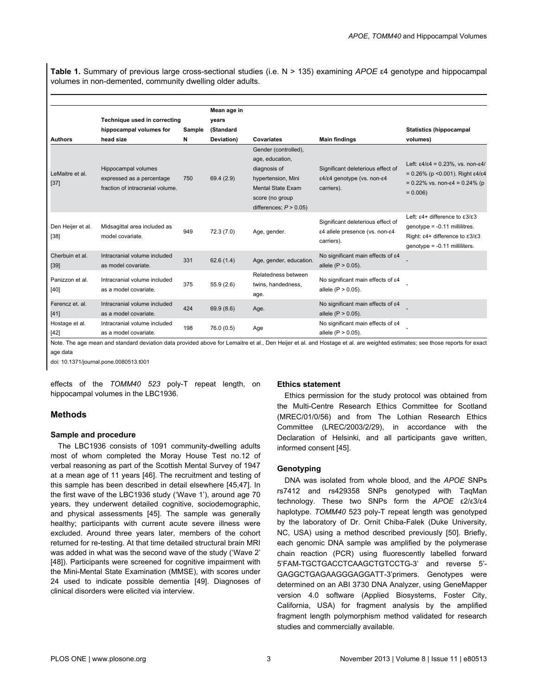<span id="page-3-0"></span>**Table 1.** Summary of previous large cross-sectional studies (i.e. N > 135) examining *APOE* ε4 genotype and hippocampal volumes in non-demented, community dwelling older adults.

|                             |                                                                                      |                                                                                                                                                                                             | Mean age in |                                                                 |                                                                                                                                                                                         |                                                                                                                                                                                                     |  |
|-----------------------------|--------------------------------------------------------------------------------------|---------------------------------------------------------------------------------------------------------------------------------------------------------------------------------------------|-------------|-----------------------------------------------------------------|-----------------------------------------------------------------------------------------------------------------------------------------------------------------------------------------|-----------------------------------------------------------------------------------------------------------------------------------------------------------------------------------------------------|--|
|                             | <b>Technique used in correcting</b>                                                  |                                                                                                                                                                                             | vears       |                                                                 |                                                                                                                                                                                         |                                                                                                                                                                                                     |  |
|                             | hippocampal volumes for                                                              | Sample                                                                                                                                                                                      | (Standard   |                                                                 |                                                                                                                                                                                         | <b>Statistics (hippocampal</b>                                                                                                                                                                      |  |
| <b>Authors</b>              | head size                                                                            | N                                                                                                                                                                                           | Deviation)  | Covariates                                                      | <b>Main findings</b>                                                                                                                                                                    | volumes)                                                                                                                                                                                            |  |
| LeMaitre et al.<br>$[37]$   | Hippocampal volumes<br>expressed as a percentage<br>fraction of intracranial volume. | Gender (controlled),<br>age, education,<br>diagnosis of<br>750<br>69.4(2.9)<br>hypertension, Mini<br><b>Mental State Exam</b><br>carriers).<br>score (no group<br>differences; $P > 0.05$ ) |             | Significant deleterious effect of<br>ε4/ε4 genotype (vs. non-ε4 | Left: $\epsilon 4/\epsilon 4 = 0.23\%$ , vs. non- $\epsilon 4/$<br>$= 0.26\%$ (p < 0.001). Right $\epsilon$ 4/ $\epsilon$ 4<br>$= 0.22\%$ vs. non- $\epsilon$ 4 = 0.24% (p<br>$= 0.006$ |                                                                                                                                                                                                     |  |
| Den Heijer et al.<br>$[38]$ | Midsagittal area included as<br>model covariate.                                     | 949                                                                                                                                                                                         | 72.3(7.0)   | Age, gender.                                                    | Significant deleterious effect of<br>ε4 allele presence (vs. non-ε4<br>carriers).                                                                                                       | Left: $\epsilon$ 4+ difference to $\epsilon$ 3/ $\epsilon$ 3<br>$genotype = -0.11$ millilitres.<br>Right: $\epsilon$ 4+ difference to $\epsilon$ 3/ $\epsilon$ 3<br>$qenotype = -0.11$ milliliters. |  |
| Cherbuin et al.<br>[39]     | Intracranial volume included<br>as model covariate.                                  | 331                                                                                                                                                                                         | 62.6(1.4)   | Age, gender, education.                                         | No significant main effects of ε4<br>allele ( $P > 0.05$ ).                                                                                                                             |                                                                                                                                                                                                     |  |
| Panizzon et al.<br>[40]     | Intracranial volume included<br>as a model covariate.                                | 375                                                                                                                                                                                         | 55.9(2.6)   | Relatedness between<br>twins, handedness,<br>age.               | No significant main effects of ε4<br>allele ( $P > 0.05$ ).                                                                                                                             |                                                                                                                                                                                                     |  |
| Ferencz et. al.<br>$[41]$   | Intracranial volume included<br>as a model covariate.                                | 424                                                                                                                                                                                         | 69.9 (8.6)  | Age.                                                            | No significant main effects of ε4<br>allele ( $P > 0.05$ ).                                                                                                                             |                                                                                                                                                                                                     |  |
| Hostage et al.<br>$[42]$    | Intracranial volume included<br>as a model covariate.                                | 198                                                                                                                                                                                         | 76.0 (0.5)  | Age                                                             | No significant main effects of ε4<br>allele ( $P > 0.05$ ).                                                                                                                             |                                                                                                                                                                                                     |  |

Note. The age mean and standard deviation data provided above for Lemaitre et al., Den Heijer et al. and Hostage et al. are weighted estimates; see those reports for exact age data

doi: 10.1371/journal.pone.0080513.t001

effects of the *TOMM40 523* poly-T repeat length, on hippocampal volumes in the LBC1936.

### **Methods**

#### **Sample and procedure**

The LBC1936 consists of 1091 community-dwelling adults most of whom completed the Moray House Test no.12 of verbal reasoning as part of the Scottish Mental Survey of 1947 at a mean age of 11 years [[46](#page-10-0)]. The recruitment and testing of this sample has been described in detail elsewhere [\[45,47\]](#page-10-0). In the first wave of the LBC1936 study ('Wave 1'), around age 70 years, they underwent detailed cognitive, sociodemographic, and physical assessments [[45](#page-10-0)]. The sample was generally healthy; participants with current acute severe illness were excluded. Around three years later, members of the cohort returned for re-testing. At that time detailed structural brain MRI was added in what was the second wave of the study ('Wave 2' [[48](#page-10-0)]). Participants were screened for cognitive impairment with the Mini-Mental State Examination (MMSE), with scores under 24 used to indicate possible dementia [[49](#page-10-0)]. Diagnoses of clinical disorders were elicited via interview.

#### **Ethics statement**

Ethics permission for the study protocol was obtained from the Multi-Centre Research Ethics Committee for Scotland (MREC/01/0/56) and from The Lothian Research Ethics Committee (LREC/2003/2/29), in accordance with the Declaration of Helsinki, and all participants gave written, informed consent [\[45\]](#page-10-0).

#### **Genotyping**

DNA was isolated from whole blood, and the *APOE* SNPs rs7412 and rs429358 SNPs genotyped with TaqMan technology. These two SNPs form the *APOE* ε2/ε3/ε4 haplotype. *TOMM40* 523 poly-T repeat length was genotyped by the laboratory of Dr. Ornit Chiba-Falek (Duke University, NC, USA) using a method described previously [\[50\]](#page-10-0). Briefly, each genomic DNA sample was amplified by the polymerase chain reaction (PCR) using fluorescently labelled forward 5'FAM-TGCTGACCTCAAGCTGTCCTG-3' and reverse 5'- GAGGCTGAGAAGGGAGGATT-3'primers. Genotypes were determined on an ABI 3730 DNA Analyzer, using GeneMapper version 4.0 software (Applied Biosystems, Foster City, California, USA) for fragment analysis by the amplified fragment length polymorphism method validated for research studies and commercially available.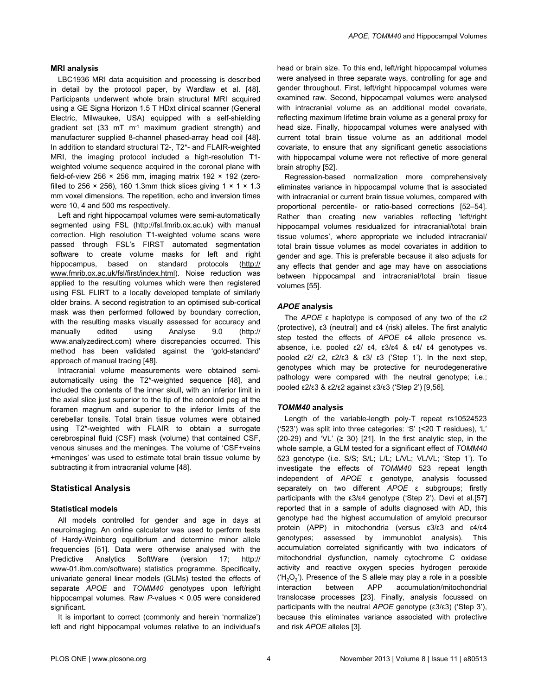#### **MRI analysis**

LBC1936 MRI data acquisition and processing is described in detail by the protocol paper, by Wardlaw et al. [\[48\]](#page-10-0). Participants underwent whole brain structural MRI acquired using a GE Signa Horizon 1.5 T HDxt clinical scanner (General Electric, Milwaukee, USA) equipped with a self-shielding gradient set (33 mT  $m<sup>-1</sup>$  maximum gradient strength) and manufacturer supplied 8-channel phased-array head coil [\[48\]](#page-10-0). In addition to standard structural T2-, T2\*- and FLAIR-weighted MRI, the imaging protocol included a high-resolution T1 weighted volume sequence acquired in the coronal plane with field-of-view 256  $\times$  256 mm, imaging matrix 192  $\times$  192 (zerofilled to 256  $\times$  256), 160 1.3mm thick slices giving 1  $\times$  1  $\times$  1.3 mm voxel dimensions. The repetition, echo and inversion times were 10, 4 and 500 ms respectively.

Left and right hippocampal volumes were semi-automatically segmented using FSL (http://fsl.fmrib.ox.ac.uk) with manual correction. High resolution T1-weighted volume scans were passed through FSL's FIRST automated segmentation software to create volume masks for left and right hippocampus, based on standard protocols [\(http://](http://www.fmrib.ox.ac.uk/fsl/first/index.html) [www.fmrib.ox.ac.uk/fsl/first/index.html](http://www.fmrib.ox.ac.uk/fsl/first/index.html)). Noise reduction was applied to the resulting volumes which were then registered using FSL FLIRT to a locally developed template of similarly older brains. A second registration to an optimised sub-cortical mask was then performed followed by boundary correction, with the resulting masks visually assessed for accuracy and manually edited using Analyse 9.0 (http:// www.analyzedirect.com) where discrepancies occurred. This method has been validated against the 'gold-standard' approach of manual tracing [\[48\]](#page-10-0).

Intracranial volume measurements were obtained semiautomatically using the T2\*-weighted sequence [[48](#page-10-0)], and included the contents of the inner skull, with an inferior limit in the axial slice just superior to the tip of the odontoid peg at the foramen magnum and superior to the inferior limits of the cerebellar tonsils. Total brain tissue volumes were obtained using T2\*-weighted with FLAIR to obtain a surrogate cerebrospinal fluid (CSF) mask (volume) that contained CSF, venous sinuses and the meninges. The volume of 'CSF+veins +meninges' was used to estimate total brain tissue volume by subtracting it from intracranial volume [[48](#page-10-0)].

#### **Statistical Analysis**

#### **Statistical models**

All models controlled for gender and age in days at neuroimaging. An online calculator was used to perform tests of Hardy-Weinberg equilibrium and determine minor allele frequencies [\[51\]](#page-10-0). Data were otherwise analysed with the Predictive Analytics SoftWare (version 17; http:// www-01.ibm.com/software) statistics programme. Specifically, univariate general linear models (GLMs) tested the effects of separate *APOE* and *TOMM40* genotypes upon left/right hippocampal volumes. Raw *P*-values < 0.05 were considered significant.

It is important to correct (commonly and herein 'normalize') left and right hippocampal volumes relative to an individual's

head or brain size. To this end, left/right hippocampal volumes were analysed in three separate ways, controlling for age and gender throughout. First, left/right hippocampal volumes were examined raw. Second, hippocampal volumes were analysed with intracranial volume as an additional model covariate, reflecting maximum lifetime brain volume as a general proxy for head size. Finally, hippocampal volumes were analysed with current total brain tissue volume as an additional model covariate, to ensure that any significant genetic associations with hippocampal volume were not reflective of more general brain atrophy [[52](#page-10-0)].

Regression-based normalization more comprehensively eliminates variance in hippocampal volume that is associated with intracranial or current brain tissue volumes, compared with proportional percentile- or ratio-based corrections [\[52–54\]](#page-10-0). Rather than creating new variables reflecting 'left/right hippocampal volumes residualized for intracranial/total brain tissue volumes', where appropriate we included intracranial/ total brain tissue volumes as model covariates in addition to gender and age. This is preferable because it also adjusts for any effects that gender and age may have on associations between hippocampal and intracranial/total brain tissue volumes [[55](#page-10-0)].

#### *APOE* **analysis**

The *APOE* ε haplotype is composed of any two of the ε2 (protective), ε3 (neutral) and ε4 (risk) alleles. The first analytic step tested the effects of *APOE* ε4 allele presence vs. absence, i.e. pooled  $\epsilon$ 2/ $\epsilon$ 4,  $\epsilon$ 3/ $\epsilon$ 4 &  $\epsilon$ 4/ $\epsilon$ 4 genotypes vs. pooled ε2/ ε2, ε2/ε3 & ε3/ ε3 ('Step 1'). In the next step, genotypes which may be protective for neurodegenerative pathology were compared with the neutral genotype; i.e.; pooled ε2/ε3 & ε2/ε2 against ε3/ε3 ('Step 2') [\[9](#page-9-0)[,56\]](#page-10-0).

#### *TOMM40* **analysis**

Length of the variable-length poly-T repeat rs10524523 ('523') was split into three categories: 'S' (<20 T residues), 'L' (20-29) and 'VL'  $(≥ 30)$  [[21](#page-9-0)]. In the first analytic step, in the whole sample, a GLM tested for a significant effect of *TOMM40* 523 genotype (i.e. S/S; S/L; L/L; L/VL; VL/VL; 'Step 1'). To investigate the effects of *TOMM40* 523 repeat length independent of *APOE* ε genotype, analysis focussed separately on two different *APOE* ε subgroups; firstly participants with the ε3/ε4 genotype ('Step 2'). Devi et al.[[57](#page-10-0)] reported that in a sample of adults diagnosed with AD, this genotype had the highest accumulation of amyloid precursor protein (APP) in mitochondria (versus ε3/ε3 and ε4/ε4 genotypes; assessed by immunoblot analysis). This accumulation correlated significantly with two indicators of mitochondrial dysfunction, namely cytochrome C oxidase activity and reactive oxygen species hydrogen peroxide  $(H_2O_2)$ . Presence of the S allele may play a role in a possible interaction between APP accumulation/mitochondrial translocase processes [\[23\]](#page-9-0). Finally, analysis focussed on participants with the neutral *APOE* genotype (ε3/ε3) ('Step 3'), because this eliminates variance associated with protective and risk *APOE* alleles [\[3](#page-9-0)].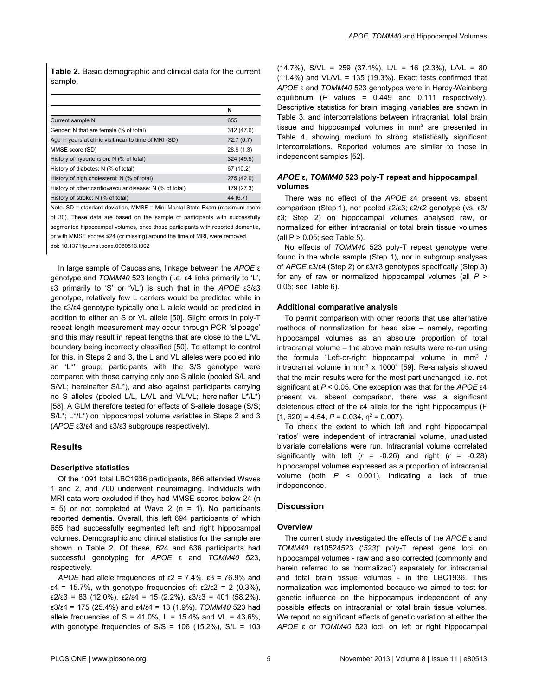**Table 2.** Basic demographic and clinical data for the current sample.

|                                                         | N          |
|---------------------------------------------------------|------------|
| Current sample N                                        | 655        |
| Gender: N that are female (% of total)                  | 312 (47.6) |
| Age in years at clinic visit near to time of MRI (SD)   | 72.7(0.7)  |
| MMSE score (SD)                                         | 28.9(1.3)  |
| History of hypertension: N (% of total)                 | 324 (49.5) |
| History of diabetes: N (% of total)                     | 67 (10.2)  |
| History of high cholesterol: N (% of total)             | 275 (42.0) |
| History of other cardiovascular disease: N (% of total) | 179 (27.3) |
| History of stroke: N (% of total)                       | 44 (6.7)   |

Note. SD = standard deviation, MMSE = Mini-Mental State Exam (maximum score of 30). These data are based on the sample of participants with successfully segmented hippocampal volumes, once those participants with reported dementia, or with MMSE scores ≤24 (or missing) around the time of MRI, were removed. doi: 10.1371/journal.pone.0080513.t002

In large sample of Caucasians, linkage between the *APOE* ε genotype and *TOMM40* 523 length (i.e. ε4 links primarily to 'L', ε3 primarily to 'S' or 'VL') is such that in the *APOE* ε3/ε3 genotype, relatively few L carriers would be predicted while in the ε3/ε4 genotype typically one L allele would be predicted in addition to either an S or VL allele [\[50\]](#page-10-0). Slight errors in poly-T repeat length measurement may occur through PCR 'slippage' and this may result in repeat lengths that are close to the L/VL boundary being incorrectly classified [[50](#page-10-0)]. To attempt to control for this, in Steps 2 and 3, the L and VL alleles were pooled into an 'L\*' group; participants with the S/S genotype were compared with those carrying only one S allele (pooled S/L and S/VL; hereinafter S/L\*), and also against participants carrying no S alleles (pooled L/L, L/VL and VL/VL; hereinafter L\*/L\*) [[58](#page-10-0)]. A GLM therefore tested for effects of S-allele dosage (S/S; S/L<sup>\*</sup>; L<sup>\*</sup>/L<sup>\*</sup>) on hippocampal volume variables in Steps 2 and 3 (*APOE* ε3/ε4 and ε3/ε3 subgroups respectively).

#### **Results**

#### **Descriptive statistics**

Of the 1091 total LBC1936 participants, 866 attended Waves 1 and 2, and 700 underwent neuroimaging. Individuals with MRI data were excluded if they had MMSE scores below 24 (n  $= 5$ ) or not completed at Wave 2 (n  $= 1$ ). No participants reported dementia. Overall, this left 694 participants of which 655 had successfully segmented left and right hippocampal volumes. Demographic and clinical statistics for the sample are shown in Table 2. Of these, 624 and 636 participants had successful genotyping for *APOE* ε and *TOMM40* 523, respectively.

*APOE* had allele frequencies of ε2 = 7.4%, ε3 = 76.9% and  $\epsilon$ 4 = 15.7%, with genotype frequencies of:  $\epsilon$ 2/ $\epsilon$ 2 = 2 (0.3%), ε2/ε3 = 83 (12.0%), ε2/ε4 = 15 (2.2%), ε3/ε3 = 401 (58.2%), ε3/ε4 = 175 (25.4%) and ε4/ε4 = 13 (1.9%). *TOMM40* 523 had allele frequencies of  $S = 41.0\%$ ,  $L = 15.4\%$  and  $VL = 43.6\%$ , with genotype frequencies of  $S/S = 106$  (15.2%),  $S/L = 103$ 

 $(14.7\%)$ , S/VL = 259  $(37.1\%)$ , L/L = 16  $(2.3\%)$ , L/VL = 80  $(11.4\%)$  and VL/VL = 135 (19.3%). Exact tests confirmed that *APOE* ε and *TOMM40* 523 genotypes were in Hardy-Weinberg equilibrium (*P* values = 0.449 and 0.111 respectively). Descriptive statistics for brain imaging variables are shown in [Table 3](#page-6-0), and intercorrelations between intracranial, total brain tissue and hippocampal volumes in mm<sup>3</sup> are presented in [Table 4](#page-7-0), showing medium to strong statistically significant intercorrelations. Reported volumes are similar to those in independent samples [\[52](#page-10-0)].

#### *APOE* **ε,** *TOMM40* **523 poly-T repeat and hippocampal volumes**

There was no effect of the *APOE* ε4 present vs. absent comparison (Step 1), nor pooled ε2/ε3; ε2/ε2 genotype (vs. ε3/ ε3; Step 2) on hippocampal volumes analysed raw, or normalized for either intracranial or total brain tissue volumes (all  $P > 0.05$ ; see [Table 5](#page-6-0)).

No effects of *TOMM40* 523 poly-T repeat genotype were found in the whole sample (Step 1), nor in subgroup analyses of *APOE* ε3/ε4 (Step 2) or ε3/ε3 genotypes specifically (Step 3) for any of raw or normalized hippocampal volumes (all *P* > 0.05; see [Table 6](#page-7-0)).

#### **Additional comparative analysis**

To permit comparison with other reports that use alternative methods of normalization for head size – namely, reporting hippocampal volumes as an absolute proportion of total intracranial volume – the above main results were re-run using the formula "Left-or-right hippocampal volume in mm<sup>3</sup> / intracranial volume in mm<sup>3</sup> x 1000" [\[59](#page-10-0)]. Re-analysis showed that the main results were for the most part unchanged, i.e. not significant at *P* < 0.05. One exception was that for the *APOE* ε4 present vs. absent comparison, there was a significant deleterious effect of the ε4 allele for the right hippocampus (F  $[1, 620] = 4.54$ ,  $P = 0.034$ ,  $p^2 = 0.007$ ).

To check the extent to which left and right hippocampal 'ratios' were independent of intracranial volume, unadjusted bivariate correlations were run. Intracranial volume correlated significantly with left  $(r = -0.26)$  and right  $(r = -0.28)$ hippocampal volumes expressed as a proportion of intracranial volume (both *P* < 0.001), indicating a lack of true independence.

## **Discussion**

#### **Overview**

The current study investigated the effects of the *APOE* ε and *TOMM40* rs10524523 ('*523*)' poly-T repeat gene loci on hippocampal volumes - raw and also corrected (commonly and herein referred to as 'normalized') separately for intracranial and total brain tissue volumes - in the LBC1936. This normalization was implemented because we aimed to test for genetic influence on the hippocampus independent of any possible effects on intracranial or total brain tissue volumes. We report no significant effects of genetic variation at either the *APOE* ε or *TOMM40* 523 loci, on left or right hippocampal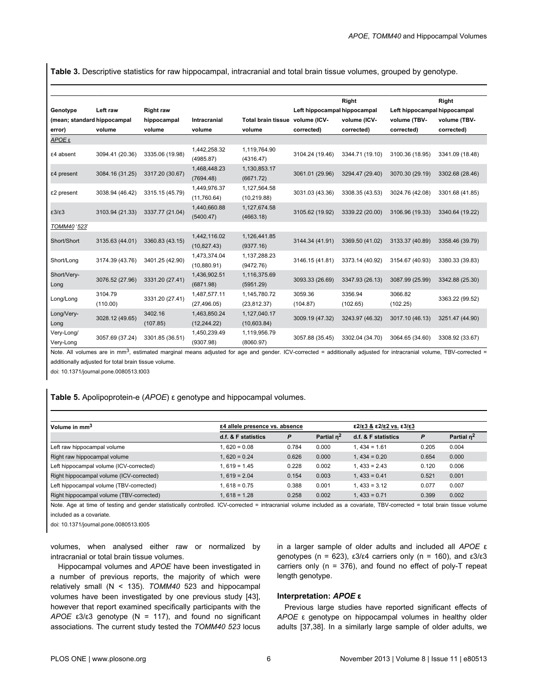<span id="page-6-0"></span>**Table 3.** Descriptive statistics for raw hippocampal, intracranial and total brain tissue volumes, grouped by genotype.

|                             |                                                              |                                    |                 |                                 |                              | Right              |                              | Right           |  |
|-----------------------------|--------------------------------------------------------------|------------------------------------|-----------------|---------------------------------|------------------------------|--------------------|------------------------------|-----------------|--|
| Genotype                    | Left raw                                                     | <b>Right raw</b>                   |                 |                                 | Left hippocampal hippocampal |                    | Left hippocampal hippocampal |                 |  |
| (mean; standard hippocampal |                                                              | <b>Intracranial</b><br>hippocampal |                 | Total brain tissue volume (ICV- |                              | volume (ICV-       | volume (TBV-                 | volume (TBV-    |  |
| error)                      | volume                                                       | volume                             | volume          | volume                          | corrected)                   | corrected)         | corrected)                   | corrected)      |  |
| APOE <sub>ε</sub>           |                                                              |                                    |                 |                                 |                              |                    |                              |                 |  |
| ε4 absent                   | 3094.41 (20.36)                                              | 3335.06 (19.98)                    | 1,442,258.32    | 1,119,764.90                    | 3104.24 (19.46)              | 3344.71 (19.10)    | 3100.36 (18.95)              | 3341.09 (18.48) |  |
|                             |                                                              |                                    | (4985.87)       | (4316.47)                       |                              |                    |                              |                 |  |
| ε4 present                  | 3084.16 (31.25)                                              | 3317.20 (30.67)                    | 1,468,448.23    | 1,130,853.17                    | 3061.01 (29.96)              | 3294.47 (29.40)    | 3070.30 (29.19)              |                 |  |
|                             |                                                              |                                    | (7694.48)       | (6671.72)                       |                              |                    |                              | 3302.68 (28.46) |  |
| ε2 present                  | 3038.94 (46.42)                                              | 3315.15 (45.79)                    | 1,449,976.37    | 1,127,564.58                    | 3031.03 (43.36)              |                    | 3024.76 (42.08)              | 3301.68 (41.85) |  |
|                             |                                                              |                                    | (11,760.64)     | (10, 219.88)                    |                              | 3308.35 (43.53)    |                              |                 |  |
| E3/E3                       | 1,440,660.88<br>1,127,674.58                                 | 3105.62 (19.92)                    | 3339.22 (20.00) | 3106.96 (19.33)                 | 3340.64 (19.22)              |                    |                              |                 |  |
|                             | 3337.77 (21.04)<br>3103.94 (21.33)<br>(5400.47)<br>(4663.18) |                                    |                 |                                 |                              |                    |                              |                 |  |
| TOMM40 '523'                |                                                              |                                    |                 |                                 |                              |                    |                              |                 |  |
| Short/Short                 | 3135.63 (44.01)                                              | 3360.83 (43.15)                    | 1,442,116.02    | 1,126,441.85                    | 3144.34 (41.91)              | 3369.50 (41.02)    | 3133.37 (40.89)              | 3358.46 (39.79) |  |
|                             |                                                              |                                    | (10, 827.43)    | (9377.16)                       |                              |                    |                              |                 |  |
|                             |                                                              |                                    | 1,473,374.04    | 1,137,288.23                    |                              |                    |                              |                 |  |
| Short/Long                  | 3174.39 (43.76)                                              | 3401.25 (42.90)                    | (10,880.91)     | (9472.76)                       | 3146.15 (41.81)              | 3373.14 (40.92)    | 3154.67 (40.93)              | 3380.33 (39.83) |  |
| Short/Very-                 | 3076.52 (27.96)                                              | 3331.20 (27.41)                    | 1,436,902.51    | 1,116,375.69                    | 3093.33 (26.69)              | 3347.93 (26.13)    | 3087.99 (25.99)              |                 |  |
| Long                        |                                                              |                                    | (6871.98)       | (5951.29)                       |                              |                    |                              | 3342.88 (25.30) |  |
|                             | 3104.79                                                      |                                    | 1,487,577.11    | 1,145,780.72                    | 3059.36<br>(104.87)          | 3356.94<br>3066.82 |                              |                 |  |
| Long/Long                   | (110.00)                                                     | 3331.20 (27.41)                    | (27, 496.05)    | (23, 812.37)                    |                              | (102.65)           | (102.25)                     | 3363.22 (99.52) |  |
| Long/Very-                  |                                                              | 3402.16                            | 1,463,850.24    | 1,127,040.17                    |                              |                    |                              |                 |  |
| Long                        | 3028.12 (49.65)                                              | (107.85)                           | (12, 244.22)    | (10,603.84)                     | 3009.19 (47.32)              | 3243.97 (46.32)    | 3017.10 (46.13)              | 3251.47 (44.90) |  |
| Very-Long/                  |                                                              |                                    | 1,450,239.49    | 1,119,956.79                    |                              |                    |                              |                 |  |
| Very-Long                   | 3057.69 (37.24)                                              | 3301.85 (36.51)                    | (9307.98)       | (8060.97)                       | 3057.88 (35.45)              | 3302.04 (34.70)    | 3064.65 (34.60)              | 3308.92 (33.67) |  |

Note. All volumes are in mm<sup>3</sup>, estimated marginal means adjusted for age and gender. ICV-corrected = additionally adjusted for intracranial volume, TBV-corrected = additionally adjusted for total brain tissue volume.

doi: 10.1371/journal.pone.0080513.t003

**Table 5.** Apolipoprotein-e (*APOE*) ε genotype and hippocampal volumes.

| Volume in mm <sup>3</sup>                | ε4 allele presence vs. absence |       | $\epsilon$ 2/ $\epsilon$ 3 & $\epsilon$ 2/ $\epsilon$ 2 vs. $\epsilon$ 3/ $\epsilon$ 3 |                     |       |               |
|------------------------------------------|--------------------------------|-------|----------------------------------------------------------------------------------------|---------------------|-------|---------------|
|                                          | d.f. & F statistics            | P     | Partial n <sup>2</sup>                                                                 | d.f. & F statistics | P     | Partial $n^2$ |
| Left raw hippocampal volume              | $.620 = 0.08$                  | 0.784 | 0.000                                                                                  | $1.434 = 1.61$      | 0.205 | 0.004         |
| Right raw hippocampal volume             | $1.620 = 0.24$                 | 0.626 | 0.000                                                                                  | $1.434 = 0.20$      | 0.654 | 0.000         |
| Left hippocampal volume (ICV-corrected)  | $1.619 = 1.45$                 | 0.228 | 0.002                                                                                  | $1.433 = 2.43$      | 0.120 | 0.006         |
| Right hippocampal volume (ICV-corrected) | $1.619 = 2.04$                 | 0.154 | 0.003                                                                                  | $1.433 = 0.41$      | 0.521 | 0.001         |
| Left hippocampal volume (TBV-corrected)  | $1.618 = 0.75$                 | 0.388 | 0.001                                                                                  | $1.433 = 3.12$      | 0.077 | 0.007         |
| Right hippocampal volume (TBV-corrected) | $1.618 = 1.28$                 | 0.258 | 0.002                                                                                  | $1.433 = 0.71$      | 0.399 | 0.002         |

Note. Age at time of testing and gender statistically controlled. ICV-corrected = intracranial volume included as a covariate, TBV-corrected = total brain tissue volume included as a covariate.

doi: 10.1371/journal.pone.0080513.t005

volumes, when analysed either raw or normalized by intracranial or total brain tissue volumes.

Hippocampal volumes and *APOE* have been investigated in a number of previous reports, the majority of which were relatively small (N < 135). *TOMM40* 523 and hippocampal volumes have been investigated by one previous study [\[43\]](#page-9-0), however that report examined specifically participants with the *APOE* ε3/ε3 genotype (N = 117), and found no significant associations. The current study tested the *TOMM40 523* locus

in a larger sample of older adults and included all *APOE* ε genotypes (n = 623), ε3/ε4 carriers only (n = 160), and ε3/ε3 carriers only (n = 376), and found no effect of poly-T repeat length genotype.

#### **Interpretation:** *APOE* **ε**

Previous large studies have reported significant effects of *APOE* ε genotype on hippocampal volumes in healthy older adults [\[37,38\]](#page-9-0). In a similarly large sample of older adults, we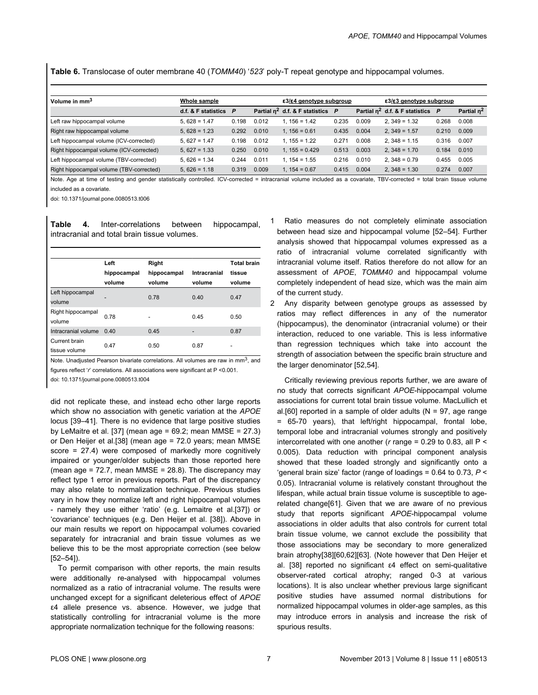<span id="page-7-0"></span>**Table 6.** Translocase of outer membrane 40 (*TOMM40*) '*523*' poly-T repeat genotype and hippocampal volumes.

| Volume in mm <sup>3</sup>                | Whole sample        |       |       | ε3/ε4 genotype subgroup                  |       |       | $\epsilon$ 3/ $\epsilon$ 3 genotype subgroup |       |               |
|------------------------------------------|---------------------|-------|-------|------------------------------------------|-------|-------|----------------------------------------------|-------|---------------|
|                                          | d.f. & F statistics | P     |       | Partial $\eta^2$ d.f. & F statistics $P$ |       |       | Partial $n^2$ d.f. & F statistics            | P     | Partial $n^2$ |
| Left raw hippocampal volume              | $5.628 = 1.47$      | 0.198 | 0.012 | $1.156 = 1.42$                           | 0.235 | 0.009 | $2.349 = 1.32$                               | 0.268 | 0.008         |
| Right raw hippocampal volume             | $5.628 = 1.23$      | 0.292 | 0.010 | $1.156 = 0.61$                           | 0.435 | 0.004 | $2.349 = 1.57$                               | 0.210 | 0.009         |
| Left hippocampal volume (ICV-corrected)  | $5.627 = 1.47$      | 0.198 | 0.012 | $1.155 = 1.22$                           | 0.271 | 0.008 | $2.348 = 1.15$                               | 0.316 | 0.007         |
| Right hippocampal volume (ICV-corrected) | $5.627 = 1.33$      | 0.250 | 0.010 | $1.155 = 0.429$                          | 0.513 | 0.003 | $2.348 = 1.70$                               | 0.184 | 0.010         |
| Left hippocampal volume (TBV-corrected)  | $5.626 = 1.34$      | 0.244 | 0.011 | $1.154 = 1.55$                           | 0.216 | 0.010 | $2.348 = 0.79$                               | 0.455 | 0.005         |
| Right hippocampal volume (TBV-corrected) | $5.626 = 1.18$      | 0.319 | 0.009 | $1.154 = 0.67$                           | 0.415 | 0.004 | $2.348 = 1.30$                               | 0.274 | 0.007         |

Note. Age at time of testing and gender statistically controlled. ICV-corrected = intracranial volume included as a covariate, TBV-corrected = total brain tissue volume included as a covariate.

doi: 10.1371/journal.pone.0080513.t006

**Table 4.** Inter-correlations between hippocampal, intracranial and total brain tissue volumes.

|                                | Left        | Right       |              |        |  |  |  |
|--------------------------------|-------------|-------------|--------------|--------|--|--|--|
|                                | hippocampal | hippocampal | Intracranial | tissue |  |  |  |
|                                | volume      | volume      | volume       | volume |  |  |  |
| Left hippocampal               |             | 0.78        | 0.40         | 0.47   |  |  |  |
| volume                         |             |             |              |        |  |  |  |
| Right hippocampal<br>volume    | 0.78        |             | 0.45         | 0.50   |  |  |  |
| Intracranial volume            | 0.40        | 0.45        |              | 0.87   |  |  |  |
| Current brain<br>tissue volume | 0.47        | 0.50        | 0.87         | ۰      |  |  |  |

Note. Unadjusted Pearson bivariate correlations. All volumes are raw in mm3, and figures reflect '*r*' correlations. All associations were significant at P <0.001.

doi: 10.1371/journal.pone.0080513.t004

did not replicate these, and instead echo other large reports which show no association with genetic variation at the *APOE* locus [[39–41\]](#page-9-0). There is no evidence that large positive studies by LeMaitre et al. [\[37\]](#page-9-0) (mean age =  $69.2$ ; mean MMSE =  $27.3$ ) or Den Heijer et al.[[38](#page-9-0)] (mean age = 72.0 years; mean MMSE score = 27.4) were composed of markedly more cognitively impaired or younger/older subjects than those reported here (mean age =  $72.7$ , mean MMSE =  $28.8$ ). The discrepancy may reflect type 1 error in previous reports. Part of the discrepancy may also relate to normalization technique. Previous studies vary in how they normalize left and right hippocampal volumes - namely they use either 'ratio' (e.g. Lemaitre et al.[[37](#page-9-0)]) or 'covariance' techniques (e.g. Den Heijer et al. [[38](#page-9-0)]). Above in our main results we report on hippocampal volumes covaried separately for intracranial and brain tissue volumes as we believe this to be the most appropriate correction (see below [[52–54\]](#page-10-0)).

To permit comparison with other reports, the main results were additionally re-analysed with hippocampal volumes normalized as a ratio of intracranial volume. The results were unchanged except for a significant deleterious effect of *APOE* ε4 allele presence vs. absence. However, we judge that statistically controlling for intracranial volume is the more appropriate normalization technique for the following reasons:

- 1 Ratio measures do not completely eliminate association between head size and hippocampal volume [\[52–54\]](#page-10-0). Further analysis showed that hippocampal volumes expressed as a ratio of intracranial volume correlated significantly with intracranial volume itself. Ratios therefore do not allow for an assessment of *APOE*, *TOMM40* and hippocampal volume completely independent of head size, which was the main aim of the current study.
- 2 Any disparity between genotype groups as assessed by ratios may reflect differences in any of the numerator (hippocampus), the denominator (intracranial volume) or their interaction, reduced to one variable. This is less informative than regression techniques which take into account the strength of association between the specific brain structure and the larger denominator [[52](#page-10-0),[54](#page-10-0)].

Critically reviewing previous reports further, we are aware of no study that corrects significant *APOE*-hippocampal volume associations for current total brain tissue volume. MacLullich et al. [[60](#page-10-0)] reported in a sample of older adults ( $N = 97$ , age range = 65-70 years), that left/right hippocampal, frontal lobe, temporal lobe and intracranial volumes strongly and positively intercorrelated with one another (*r* range = 0.29 to 0.83, all P < 0.005). Data reduction with principal component analysis showed that these loaded strongly and significantly onto a 'general brain size' factor (range of loadings = 0.64 to 0.73, *P* < 0.05). Intracranial volume is relatively constant throughout the lifespan, while actual brain tissue volume is susceptible to agerelated change[[61](#page-10-0)]. Given that we are aware of no previous study that reports significant *APOE*-hippocampal volume associations in older adults that also controls for current total brain tissue volume, we cannot exclude the possibility that those associations may be secondary to more generalized brain atrophy[\[38\]](#page-9-0)[[60,62\]](#page-10-0)[[63](#page-10-0)]. (Note however that Den Heijer et al. [[38](#page-9-0)] reported no significant ε4 effect on semi-qualitative observer-rated cortical atrophy; ranged 0-3 at various locations). It is also unclear whether previous large significant positive studies have assumed normal distributions for normalized hippocampal volumes in older-age samples, as this may introduce errors in analysis and increase the risk of spurious results.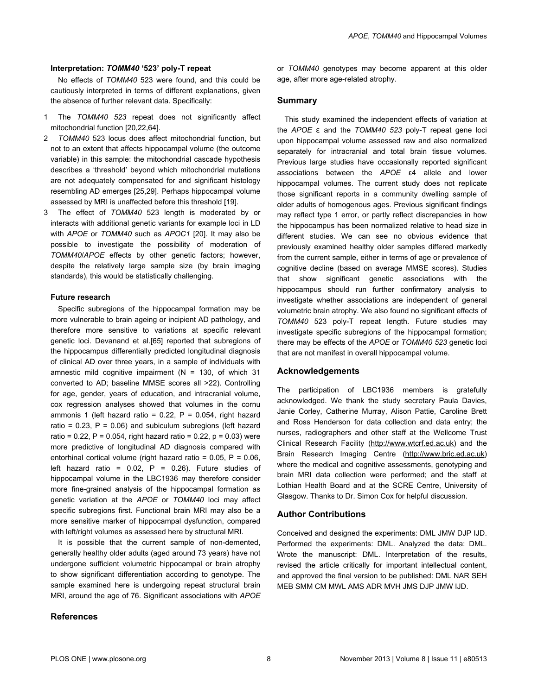#### **Interpretation:** *TOMM40* **'523' poly-T repeat**

No effects of *TOMM40* 523 were found, and this could be cautiously interpreted in terms of different explanations, given the absence of further relevant data. Specifically:

- 1 The *TOMM40 523* repeat does not significantly affect mitochondrial function [[20](#page-9-0),[22](#page-9-0),[64](#page-10-0)].
- 2 *TOMM40* 523 locus does affect mitochondrial function, but not to an extent that affects hippocampal volume (the outcome variable) in this sample: the mitochondrial cascade hypothesis describes a 'threshold' beyond which mitochondrial mutations are not adequately compensated for and significant histology resembling AD emerges [[25](#page-9-0),[29](#page-9-0)]. Perhaps hippocampal volume assessed by MRI is unaffected before this threshold [\[19\]](#page-9-0).
- 3 The effect of *TOMM40* 523 length is moderated by or interacts with additional genetic variants for example loci in LD with *APOE* or *TOMM40* such as *APOC1* [\[20\]](#page-9-0). It may also be possible to investigate the possibility of moderation of *TOMM40*/*APOE* effects by other genetic factors; however, despite the relatively large sample size (by brain imaging standards), this would be statistically challenging.

#### **Future research**

Specific subregions of the hippocampal formation may be more vulnerable to brain ageing or incipient AD pathology, and therefore more sensitive to variations at specific relevant genetic loci. Devanand et al.[[65](#page-10-0)] reported that subregions of the hippocampus differentially predicted longitudinal diagnosis of clinical AD over three years, in a sample of individuals with amnestic mild cognitive impairment ( $N = 130$ , of which 31 converted to AD; baseline MMSE scores all >22). Controlling for age, gender, years of education, and intracranial volume, cox regression analyses showed that volumes in the cornu ammonis 1 (left hazard ratio =  $0.22$ , P =  $0.054$ , right hazard ratio =  $0.23$ ,  $P = 0.06$ ) and subiculum subregions (left hazard ratio =  $0.22$ , P =  $0.054$ , right hazard ratio =  $0.22$ , p =  $0.03$ ) were more predictive of longitudinal AD diagnosis compared with entorhinal cortical volume (right hazard ratio =  $0.05$ ,  $P = 0.06$ , left hazard ratio =  $0.02$ ,  $P = 0.26$ ). Future studies of hippocampal volume in the LBC1936 may therefore consider more fine-grained analysis of the hippocampal formation as genetic variation at the *APOE* or *TOMM40* loci may affect specific subregions first. Functional brain MRI may also be a more sensitive marker of hippocampal dysfunction, compared with left/right volumes as assessed here by structural MRI.

It is possible that the current sample of non-demented, generally healthy older adults (aged around 73 years) have not undergone sufficient volumetric hippocampal or brain atrophy to show significant differentiation according to genotype. The sample examined here is undergoing repeat structural brain MRI, around the age of 76. Significant associations with *APOE*

#### **References**

or *TOMM40* genotypes may become apparent at this older age, after more age-related atrophy.

#### **Summary**

This study examined the independent effects of variation at the *APOE* ɛ and the *TOMM40 523* poly-T repeat gene loci upon hippocampal volume assessed raw and also normalized separately for intracranial and total brain tissue volumes. Previous large studies have occasionally reported significant associations between the *APOE* ε4 allele and lower hippocampal volumes. The current study does not replicate those significant reports in a community dwelling sample of older adults of homogenous ages. Previous significant findings may reflect type 1 error, or partly reflect discrepancies in how the hippocampus has been normalized relative to head size in different studies. We can see no obvious evidence that previously examined healthy older samples differed markedly from the current sample, either in terms of age or prevalence of cognitive decline (based on average MMSE scores). Studies that show significant genetic associations with the hippocampus should run further confirmatory analysis to investigate whether associations are independent of general volumetric brain atrophy. We also found no significant effects of *TOMM40* 523 poly-T repeat length. Future studies may investigate specific subregions of the hippocampal formation; there may be effects of the *APOE* or *TOMM40 523* genetic loci that are not manifest in overall hippocampal volume.

#### **Acknowledgements**

The participation of LBC1936 members is gratefully acknowledged. We thank the study secretary Paula Davies, Janie Corley, Catherine Murray, Alison Pattie, Caroline Brett and Ross Henderson for data collection and data entry; the nurses, radiographers and other staff at the Wellcome Trust Clinical Research Facility [\(http://www.wtcrf.ed.ac.uk\)](http://www.wtcrf.ed.ac.uk) and the Brain Research Imaging Centre [\(http://www.bric.ed.ac.uk\)](http://www.bric.ed.ac.uk) where the medical and cognitive assessments, genotyping and brain MRI data collection were performed; and the staff at Lothian Health Board and at the SCRE Centre, University of Glasgow. Thanks to Dr. Simon Cox for helpful discussion.

#### **Author Contributions**

Conceived and designed the experiments: DML JMW DJP IJD. Performed the experiments: DML. Analyzed the data: DML. Wrote the manuscript: DML. Interpretation of the results, revised the article critically for important intellectual content, and approved the final version to be published: DML NAR SEH MEB SMM CM MWL AMS ADR MVH JMS DJP JMW IJD.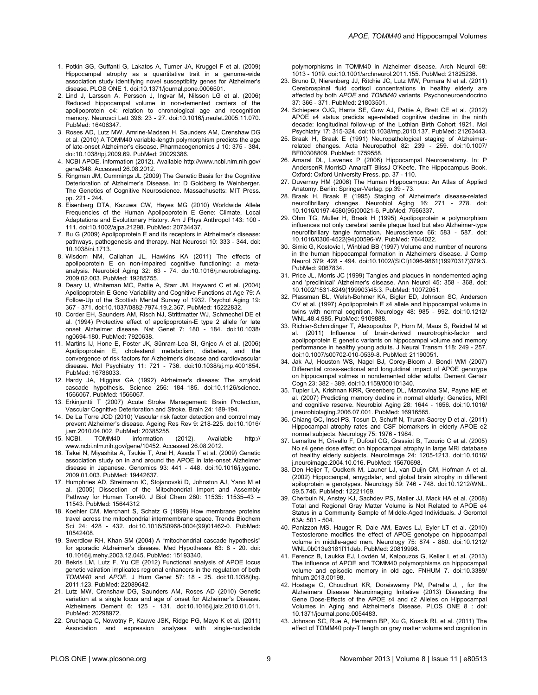- <span id="page-9-0"></span>1. Potkin SG, Guffanti G, Lakatos A, Turner JA, Kruggel F et al. (2009) Hippocampal atrophy as a quantitative trait in a genome-wide association study identifying novel susceptiblity genes for Alzheimer's disease. PLOS ONE 1. doi[:10.1371/journal.pone.0006501](http://dx.doi.org/10.1371/journal.pone.0006501).
- 2. Lind J, Larsson A, Persson J, Ingvar M, Nilsson LG et al. (2006) Reduced hippocampal volume in non-demented carriers of the apolipoprotein e4: relation to chronological age and recognition memory. Neurosci Lett 396: 23 - 27. doi:[10.1016/j.neulet.2005.11.070.](http://dx.doi.org/10.1016/j.neulet.2005.11.070) PubMed: [16406347.](http://www.ncbi.nlm.nih.gov/pubmed/16406347)
- 3. Roses AD, Lutz MW, Amrine-Madsen H, Saunders AM, Crenshaw DG et al. (2010) A TOMM40 variable-length polymorphism predicts the age of late-onset Alzheimer's disease. Pharmacogenomics J 10: 375 - 384. doi:[10.1038/tpj.2009.69.](http://dx.doi.org/10.1038/tpj.2009.69) PubMed: [20029386.](http://www.ncbi.nlm.nih.gov/pubmed/20029386)
- 4. NCBI APOE. information (2012). Available [http://www.ncbi.nlm.nih.gov/](http://www.ncbi.nlm.nih.gov/gene/348) [gene/348.](http://www.ncbi.nlm.nih.gov/gene/348) Accessed 26.08.2012.
- 5. Ringman JM, Cummings JL (2009) The Genetic Basis for the Cognitive Deterioration of Alzheimer's Disease. In: D Goldberg te Weinberger. The Genetics of Cognitive Neuroscience. Massachusetts: MIT Press. pp. 221 - 244.
- 6. Eisenberg DTA, Kazuwa CW, Hayes MG (2010) Worldwide Allele Frequencies of the Human Apolipoprotein E Gene: Climate, Local Adaptations and Evolutionary History. Am J Phys Anthropol 143: 100 - 111. doi[:10.1002/ajpa.21298](http://dx.doi.org/10.1002/ajpa.21298). PubMed: [20734437](http://www.ncbi.nlm.nih.gov/pubmed/20734437).
- 7. Bu G (2009) Apolipoprotein E and its receptors in Alzheimer's disease: pathways, pathogenesis and therapy. Nat Neurosci 10: 333 - 344. doi: [10.1038/ni.1713.](http://dx.doi.org/10.1038/ni.1713)
- 8. Wisdom NM, Callahan JL, Hawkins KA (2011) The effects of apolipoprotein E on non-impaired cognitive functioning: a metaanalysis. Neurobiol Aging 32: 63 - 74. doi:[10.1016/j.neurobiolaging.](http://dx.doi.org/10.1016/j.neurobiolaging.2009.02.003) [2009.02.003.](http://dx.doi.org/10.1016/j.neurobiolaging.2009.02.003) PubMed: [19285755.](http://www.ncbi.nlm.nih.gov/pubmed/19285755)
- 9. Deary IJ, Whiteman MC, Pattie A, Starr JM, Hayward C et al. (2004) Apolipoprotein E Gene Variability and Cognitive Functions at Age 79: A Follow-Up of the Scottish Mental Survey of 1932. Psychol Aging 19: 367 - 371. doi[:10.1037/0882-7974.19.2.367](http://dx.doi.org/10.1037/0882-7974.19.2.367). PubMed: [15222832](http://www.ncbi.nlm.nih.gov/pubmed/15222832).
- 10. Corder EH, Saunders AM, Risch NJ, Strittmatter WJ, Schmechel DE et al. (1994) Protective effect of apolipoprotein-E type 2 allele for late onset Alzheimer disease. Nat Genet 7: 180 - 184. doi[:10.1038/](http://dx.doi.org/10.1038/ng0694-180) [ng0694-180.](http://dx.doi.org/10.1038/ng0694-180) PubMed: [7920638](http://www.ncbi.nlm.nih.gov/pubmed/7920638).
- 11. Martins IJ, Hone E, Foster JK, Sünram-Lea SI, Gnjec A et al. (2006) Apolipoprotein E, cholesterol metabolism, diabetes, and the convergence of risk factors for Alzheimer's disease and cardiovascular disease. Mol Psychiatry 11: 721 - 736. doi[:10.1038/sj.mp.4001854.](http://dx.doi.org/10.1038/sj.mp.4001854) PubMed: [16786033.](http://www.ncbi.nlm.nih.gov/pubmed/16786033)
- 12. Hardy JA, Higgins GA (1992) Alzheimer's disease: The amyloid cascade hypothesis. Science 256: 184–185. doi:[10.1126/science.](http://dx.doi.org/10.1126/science.1566067) [1566067.](http://dx.doi.org/10.1126/science.1566067) PubMed: [1566067.](http://www.ncbi.nlm.nih.gov/pubmed/1566067)
- 13. Erkinjuntti T (2007) Acute Stroke Management: Brain Protection, Vascular Cognitive Deterioration and Stroke. Brain 24: 189-194.
- 14. De La Torre JCD (2010) Vascular risk factor detection and control may prevent Alzheimer's disease. Ageing Res Rev 9: 218-225. doi[:10.1016/](http://dx.doi.org/10.1016/j.arr.2010.04.002) [j.arr.2010.04.002.](http://dx.doi.org/10.1016/j.arr.2010.04.002) PubMed: [20385255.](http://www.ncbi.nlm.nih.gov/pubmed/20385255)<br>15. NCBI. TOMM40 information
- information (2012). Available [http://](http://www.ncbi.nlm.nih.gov/gene/10452) [www.ncbi.nlm.nih.gov/gene/10452](http://www.ncbi.nlm.nih.gov/gene/10452). Accessed 26.08.2012.
- 16. Takei N, Miyashita A, Tsukie T, Arai H, Asada T et al. (2009) Genetic association study on in and around the APOE in late-onset Alzheimer disease in Japanese. Genomics 93: 441 - 448. doi:[10.1016/j.ygeno.](http://dx.doi.org/10.1016/j.ygeno.2009.01.003) [2009.01.003.](http://dx.doi.org/10.1016/j.ygeno.2009.01.003) PubMed: [19442637.](http://www.ncbi.nlm.nih.gov/pubmed/19442637)
- 17. Humphries AD, Streimann IC, Stojanovski D, Johnston AJ, Yano M et al. (2005) Dissection of the Mitochondrial Import and Assembly Pathway for Human Tom40. J Biol Chem 280: 11535: 11535–43 – [11543](http://www.ncbi.nlm.nih.gov/pubmed/11543). PubMed: 15644312
- 18. Koehler CM, Merchant S, Schatz G (1999) How membrane proteins travel across the mitochondrial intermembrane space. Trends Biochem Sci 24: 428 - 432. doi:[10.1016/S0968-0004\(99\)01462-0.](http://dx.doi.org/10.1016/S0968-0004(99)01462-0) PubMed: [10542408.](http://www.ncbi.nlm.nih.gov/pubmed/10542408)
- 19. Swerdlow RH, Khan SM (2004) A "mitochondrial cascade hypothesis" for sporadic Alzheimer's disease. Med Hypotheses 63: 8 - 20. doi: [10.1016/j.mehy.2003.12.045](http://dx.doi.org/10.1016/j.mehy.2003.12.045). PubMed: [15193340](http://www.ncbi.nlm.nih.gov/pubmed/15193340).
- 20. Bekris LM, Lutz F, Yu CE (2012) Functional analysis of APOE locus genetic vairation implicates regional enhancers in the regulation of both *TOMM40* and *APOE*. J Hum Genet 57: 18 - 25. doi:[10.1038/jhg.](http://dx.doi.org/10.1038/jhg.2011.123) [2011.123.](http://dx.doi.org/10.1038/jhg.2011.123) PubMed: [22089642.](http://www.ncbi.nlm.nih.gov/pubmed/22089642)
- 21. Lutz MW, Crenshaw DG, Saunders AM, Roses AD (2010) Genetic variation at a single locus and age of onset for Alzheimer's Disease. Alzheimers Dement 6: 125 - 131. doi[:10.1016/j.jalz.2010.01.011.](http://dx.doi.org/10.1016/j.jalz.2010.01.011) PubMed: [20298972.](http://www.ncbi.nlm.nih.gov/pubmed/20298972)
- 22. Cruchaga C, Nowotny P, Kauwe JSK, Ridge PG, Mayo K et al. (2011) Association and expression analyses with single-nucleotide

polymorphisms in TOMM40 in Alzheimer disease. Arch Neurol 68: 1013 - 1019. doi[:10.1001/archneurol.2011.155.](http://dx.doi.org/10.1001/archneurol.2011.155) PubMed: [21825236.](http://www.ncbi.nlm.nih.gov/pubmed/21825236)

- 23. Bruno D, Nierenberg JJ, Ritchie JC, Lutz MW, Pomara N et al. (2011) Cerebrospinal fluid cortisol concentrations in healthy elderly are affected by both *APOE* and *TOMM40* variants. Psychoneuroendocrino 37: 366 - 371. PubMed: [21803501.](http://www.ncbi.nlm.nih.gov/pubmed/21803501)
- 24. Schiepers OJG, Harris SE, Gow AJ, Pattie A, Brett CE et al. (2012) APOE ε4 status predicts age-related cognitive decline in the ninth decade: longitudinal follow-up of the Lothian Birth Cohort 1921. Mol Psychiatry 17: 315-324. doi[:10.1038/mp.2010.137](http://dx.doi.org/10.1038/mp.2010.137). PubMed: [21263443](http://www.ncbi.nlm.nih.gov/pubmed/21263443).
- 25. Braak H, Braak E (1991) Neuropathological staging of Alzheimerrelated changes. Acta Neuropathol 82: 239 - 259. doi[:10.1007/](http://dx.doi.org/10.1007/BF00308809) [BF00308809.](http://dx.doi.org/10.1007/BF00308809) PubMed: [1759558.](http://www.ncbi.nlm.nih.gov/pubmed/1759558)
- 26. Amaral DL, Lavenex P (2006) Hippocampal Neuroanatomy. In: P AndersenR MorrisD AmaralT BlissJ O'Keefe. The Hippocampus Book. Oxford: Oxford University Press. pp. 37 - 110.
- 27. Duvernoy HM (2006) The Human Hippocampus: An Atlas of Applied Anatomy. Berlin: Springer-Verlag. pp.39 - 73.
- 28. Braak H, Braak E (1995) Staging of Alzheimer's disease-related neurofibrillary changes. Neurobiol Aging 16: 271 - 278. doi: [10.1016/0197-4580\(95\)00021-6](http://dx.doi.org/10.1016/0197-4580(95)00021-6). PubMed: [7566337](http://www.ncbi.nlm.nih.gov/pubmed/7566337).
- 29. Ohm TG, Muller H, Braak H (1995) Apolipoprotein e polymorphism influences not only cerebral senile plaque load but also Alzheimer-type neurofibrillary tangle formation. Neuroscience 66: 583 - 587. doi: [10.1016/0306-4522\(94\)00596-W](http://dx.doi.org/10.1016/0306-4522(94)00596-W). PubMed: [7644022](http://www.ncbi.nlm.nih.gov/pubmed/7644022).
- 30. Simic G, Kostovic I, Winblad BB (1997) Volume and number of neurons in the human hippocampal formation in Alzheimers disease. J Comp Neurol 379: 428 - 494. doi[:10.1002/\(SICI\)1096-9861\(19970317\)379:3](http://dx.doi.org/10.1002/(SICI)1096-9861(19970317)379:3). PubMed: [9067834.](http://www.ncbi.nlm.nih.gov/pubmed/9067834)
- 31. Price JL, Morris JC (1999) Tangles and plaques in nondemented aging and 'preclinical' Alzheimer's disease. Ann Neurol 45: 358 - 368. doi: [10.1002/1531-8249\(199903\)45:3.](http://dx.doi.org/10.1002/1531-8249(199903)45:3) PubMed: [10072051.](http://www.ncbi.nlm.nih.gov/pubmed/10072051)
- 32. Plassman BL, Welsh-Bohmer KA, Bigler ED, Johnson SC, Anderson CV et al. (1997) Apolipoprotein E ε4 allele and hippocampal volume in twins with normal cognition. Neurology 48: 985 - 992. doi[:10.1212/](http://dx.doi.org/10.1212/WNL.48.4.985) [WNL.48.4.985](http://dx.doi.org/10.1212/WNL.48.4.985). PubMed: [9109888](http://www.ncbi.nlm.nih.gov/pubmed/9109888).
- 33. Richter-Schmidinger T, Alexopoulos P, Horn M, Maus S, Reichel M et (2011) Influence of brain-derived neurotrophic-factor and apolipoprotein E genetic variants on hippocampal volume and memory performance in healthy young adults. J Neural Transm 118: 249 - 257. doi:[10.1007/s00702-010-0539-8](http://dx.doi.org/10.1007/s00702-010-0539-8). PubMed: [21190051](http://www.ncbi.nlm.nih.gov/pubmed/21190051).
- 34. Jak AJ, Houston WS, Nagel BJ, Corey-Bloom J, Bondi WM (2007) Differential cross-sectional and longutdinal impact of APOE genotype on hippocampal volmes in nondemented older adults. Dement Geriatr Cogn 23: 382 - 389. doi:[10.1159/000101340.](http://dx.doi.org/10.1159/000101340)
- 35. Tupler LA, Krishnan KRR, Greenberg DL, Marcovina SM, Payne ME et al. (2007) Predicting memory decline in normal elderly: Genetics, MRI and cognitive reserve. Neurobiol Aging 28: 1644 - 1656. doi[:10.1016/](http://dx.doi.org/10.1016/j.neurobiolaging.2006.07.001) [j.neurobiolaging.2006.07.001.](http://dx.doi.org/10.1016/j.neurobiolaging.2006.07.001) PubMed: [16916565.](http://www.ncbi.nlm.nih.gov/pubmed/16916565)
- 36. Chiang GC, Insel PS, Tosun D, Schuff N, Truran-Sacrey D et al. (2011) Hippocampal atrophy rates and CSF biomarkers in elderly APOE e2 normal subjects. Neurology 75: 1976 - 1984.
- 37. Lemaître H, Crivello F, Dufouil CG, Grassiot B, Tzourio C et al. (2005) No ε4 gene dose effect on hippocampal atrophy in large MRI database of healthy elderly subjects. NeuroImage 24: 1205-1213. doi[:10.1016/](http://dx.doi.org/10.1016/j.neuroimage.2004.10.016) [j.neuroimage.2004.10.016.](http://dx.doi.org/10.1016/j.neuroimage.2004.10.016) PubMed: [15670698.](http://www.ncbi.nlm.nih.gov/pubmed/15670698)
- 38. Den Heijer T, Oudkerk M, Launer LJ, van Duijn CM, Hofman A et al. (2002) Hippocampal, amygdalar, and global brain atrophy in different apiloprotein e genotypes. Neurology 59: 746 - 748. doi:[10.1212/WNL.](http://dx.doi.org/10.1212/WNL.59.5.746) [59.5.746.](http://dx.doi.org/10.1212/WNL.59.5.746) PubMed: [12221169.](http://www.ncbi.nlm.nih.gov/pubmed/12221169)
- 39. Cherbuin N, Anstey KJ, Sachdev PS, Maller JJ, Mack HA et al. (2008) Total and Regional Gray Matter Volume is Not Related to APOE e4 Status in a Community Sample of Middle-Aged Individuals. J Gerontol 63A: 501 - 504.
- 40. Panizzon MS, Hauger R, Dale AM, Eaves LJ, Eyler LT et al. (2010) Testosterone modifies the effect of APOE genotype on hippocampal volume in middle-aged men. Neurology 75: 874 - 880. doi[:10.1212/](http://dx.doi.org/10.1212/WNL.0b013e3181f11deb) [WNL.0b013e3181f11deb](http://dx.doi.org/10.1212/WNL.0b013e3181f11deb). PubMed: [20819998](http://www.ncbi.nlm.nih.gov/pubmed/20819998).
- 41. Ferencz B, Laukka EJ, Lovdén M, Kalpouzos G, Keller L et al. (2013) The influence of APOE and TOMM40 polymorphisms on hippocampal volume and episodic memory in old age. FNHUM 7. doi[:10.3389/](http://dx.doi.org/10.3389/fnhum.2013.00198) [fnhum.2013.00198.](http://dx.doi.org/10.3389/fnhum.2013.00198)
- 42. Hostage C, Choudhurt KR, Doraiswamy PM, Petrella J, , for the Alzheimers Disease Neuroimaging Initiative (2013) Dissecting the Gene Dose-Effects of the APOE ε4 and ε2 Alleles on Hippocampal Volumes in Aging and Alzheimer's Disease. PLOS ONE 8 : doi: [10.1371/journal.pone.0054483](http://dx.doi.org/10.1371/journal.pone.0054483).
- 43. Johnson SC, Rue A, Hermann BP, Xu G, Koscik RL et al. (2011) The effect of TOMM40 poly-T length on gray matter volume and cognition in